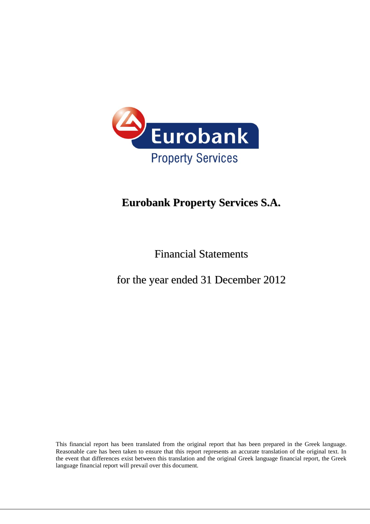

# **Eurobank Property Services S.A.**

Financial Statements

for the year ended 31 December 2012

This financial report has been translated from the original report that has been prepared in the Greek language. Reasonable care has been taken to ensure that this report represents an accurate translation of the original text. In the event that differences exist between this translation and the original Greek language financial report, the Greek language financial report will prevail over this document.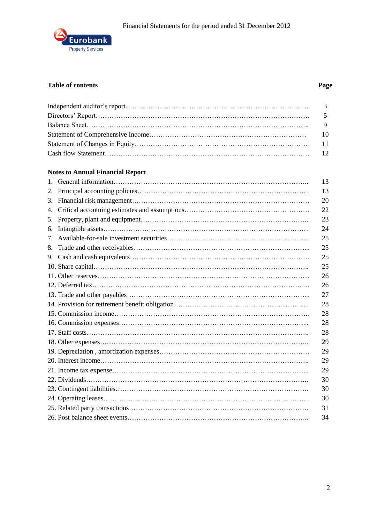

### **Table of contents Page**

### **Notes to Annual Financial Report**

| 1                                | 13 |
|----------------------------------|----|
| 2.                               | 13 |
| 3.                               | 20 |
| 4.                               | 22 |
| 5.                               | 23 |
| 6.                               | 24 |
| $7_{\scriptscriptstyle{\ddots}}$ | 25 |
| 8.                               | 25 |
| 9.                               | 25 |
|                                  | 25 |
|                                  | 26 |
|                                  | 26 |
|                                  | 27 |
|                                  | 28 |
|                                  | 28 |
|                                  | 28 |
|                                  | 28 |
|                                  | 29 |
|                                  | 29 |
|                                  | 29 |
|                                  | 29 |
|                                  | 30 |
|                                  | 30 |
|                                  | 30 |
|                                  | 31 |
|                                  | 34 |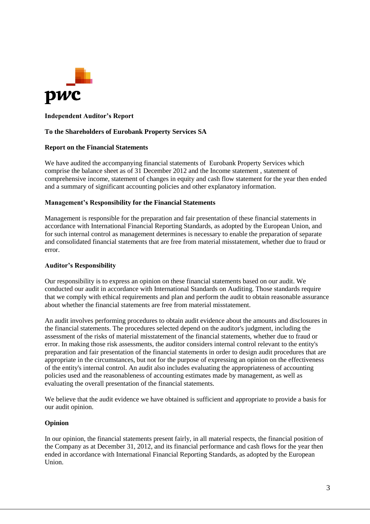

#### **Independent Auditor"s Report**

#### **To the Shareholders of Eurobank Property Services SA**

#### **Report on the Financial Statements**

We have audited the accompanying financial statements of Eurobank Property Services which comprise the balance sheet as of 31 December 2012 and the Income statement , statement of comprehensive income, statement of changes in equity and cash flow statement for the year then ended and a summary of significant accounting policies and other explanatory information.

#### **Management"s Responsibility for the Financial Statements**

Management is responsible for the preparation and fair presentation of these financial statements in accordance with International Financial Reporting Standards, as adopted by the European Union, and for such internal control as management determines is necessary to enable the preparation of separate and consolidated financial statements that are free from material misstatement, whether due to fraud or error.

#### **Auditor"s Responsibility**

Our responsibility is to express an opinion on these financial statements based on our audit. We conducted our audit in accordance with International Standards on Auditing. Those standards require that we comply with ethical requirements and plan and perform the audit to obtain reasonable assurance about whether the financial statements are free from material misstatement.

An audit involves performing procedures to obtain audit evidence about the amounts and disclosures in the financial statements. The procedures selected depend on the auditor's judgment, including the assessment of the risks of material misstatement of the financial statements, whether due to fraud or error. In making those risk assessments, the auditor considers internal control relevant to the entity's preparation and fair presentation of the financial statements in order to design audit procedures that are appropriate in the circumstances, but not for the purpose of expressing an opinion on the effectiveness of the entity's internal control. An audit also includes evaluating the appropriateness of accounting policies used and the reasonableness of accounting estimates made by management, as well as evaluating the overall presentation of the financial statements.

We believe that the audit evidence we have obtained is sufficient and appropriate to provide a basis for our audit opinion.

#### **Opinion**

In our opinion, the financial statements present fairly, in all material respects, the financial position of the Company as at December 31, 2012, and its financial performance and cash flows for the year then ended in accordance with International Financial Reporting Standards, as adopted by the European Union.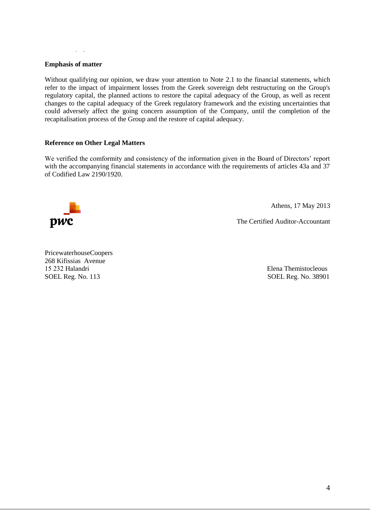#### **Emphasis of matter**

Without qualifying our opinion, we draw your attention to Note 2.1 to the financial statements, which refer to the impact of impairment losses from the Greek sovereign debt restructuring on the Group's regulatory capital, the planned actions to restore the capital adequacy of the Group, as well as recent changes to the capital adequacy of the Greek regulatory framework and the existing uncertainties that could adversely affect the going concern assumption of the Company, until the completion of the recapitalisation process of the Group and the restore of capital adequacy.

#### **Reference on Other Legal Matters**

We verified the comformity and consistency of the information given in the Board of Directors' report with the accompanying financial statements in accordance with the requirements of articles 43a and 37 of Codified Law 2190/1920.



Athens, 17 May 2013

The Certified Auditor-Accountant

PricewaterhouseCoopers 268 Kifissias Avenue 15 232 Halandri **Elena Themistocleous** SOEL Reg. No. 113 SOEL Reg. No. 38901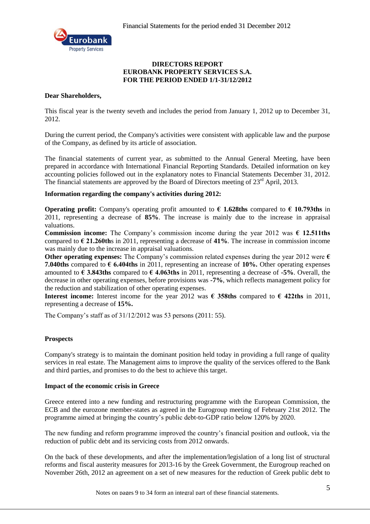

#### **DIRECTORS REPORT EUROBANK PROPERTY SERVICES S.A. FOR THE PERIOD ENDED 1/1-31/12/2012**

#### **Dear Shareholders,**

This fiscal year is the twenty seveth and includes the period from January 1, 2012 up to December 31, 2012.

During the current period, the Company's activities were consistent with applicable law and the purpose of the Company, as defined by its article of association.

The financial statements of current year, as submitted to the Annual General Meeting, have been prepared in accordance with International Financial Reporting Standards. Detailed information on key accounting policies followed out in the explanatory notes to Financial Statements December 31, 2012. The financial statements are approved by the Board of Directors meeting of 23<sup>rd</sup> April, 2013.

#### **Information regarding the company's activities during 2012:**

**Operating profit:** Company's operating profit amounted to  $\epsilon$  1.628ths compared to  $\epsilon$  10.793ths in 2011, representing a decrease of **85%**. The increase is mainly due to the increase in appraisal valuations.

**Commission income:** The Company's commission income during the year 2012 was  $\epsilon$  12.511ths compared to **€ 21.260th**s in 2011, representing a decrease of **41%**. The increase in commission income was mainly due to the increase in appraisal valuations.

**Other operating expenses:** The Company's commission related expenses during the year 2012 were  $\epsilon$ **7.040ths** compared to **€ 6.404ths** in 2011, representing an increase of **10%.** Other operating expenses amounted to **€ 3.843ths** compared to **€ 4.063ths** in 2011, representing a decrease of **-5%**. Overall, the decrease in other operating expenses, before provisions was **-7%**, which reflects management policy for the reduction and stabilization of other operating expenses.

**Interest income:** Interest income for the year 2012 was  $\epsilon$  358ths compared to  $\epsilon$  422ths in 2011, representing a decrease of **15%.**

The Company"s staff as of 31/12/2012 was 53 persons (2011: 55).

#### **Prospects**

Company's strategy is to maintain the dominant position held today in providing a full range of quality services in real estate. The Management aims to improve the quality of the services offered to the Bank and third parties, and promises to do the best to achieve this target.

#### **Impact of the economic crisis in Greece**

Greece entered into a new funding and restructuring programme with the European Commission, the ECB and the eurozone member-states as agreed in the Eurogroup meeting of February 21st 2012. The programme aimed at bringing the country"s public debt-to-GDP ratio below 120% by 2020.

The new funding and reform programme improved the country"s financial position and outlook, via the reduction of public debt and its servicing costs from 2012 onwards.

On the back of these developments, and after the implementation/legislation of a long list of structural reforms and fiscal austerity measures for 2013-16 by the Greek Government, the Eurogroup reached on November 26th, 2012 an agreement on a set of new measures for the reduction of Greek public debt to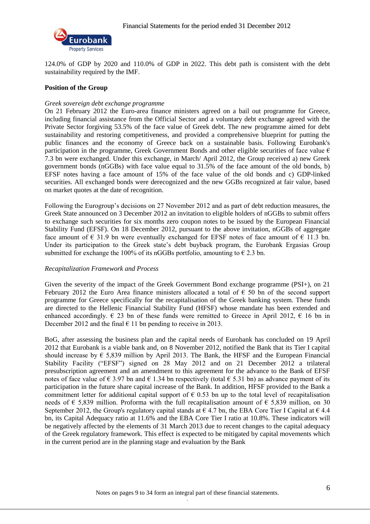

124.0% of GDP by 2020 and 110.0% of GDP in 2022. This debt path is consistent with the debt sustainability required by the IMF.

#### **Position of the Group**

#### *Greek sovereign debt exchange programme*

On 21 February 2012 the Euro-area finance ministers agreed on a bail out programme for Greece, including financial assistance from the Official Sector and a voluntary debt exchange agreed with the Private Sector forgiving 53.5% of the face value of Greek debt. The new programme aimed for debt sustainability and restoring competitiveness, and provided a comprehensive blueprint for putting the public finances and the economy of Greece back on a sustainable basis. Following Eurobank's participation in the programme, Greek Government Bonds and other eligible securities of face value  $\epsilon$ 7.3 bn were exchanged. Under this exchange, in March/ April 2012, the Group received a) new Greek government bonds (nGGBs) with face value equal to 31.5% of the face amount of the old bonds, b) EFSF notes having a face amount of 15% of the face value of the old bonds and c) GDP-linked securities. All exchanged bonds were derecognized and the new GGBs recognized at fair value, based on market quotes at the date of recognition.

Following the Eurogroup"s decisions on 27 November 2012 and as part of debt reduction measures, the Greek State announced on 3 December 2012 an invitation to eligible holders of nGGBs to submit offers to exchange such securities for six months zero coupon notes to be issued by the European Financial Stability Fund (EFSF). On 18 December 2012, pursuant to the above invitation, nGGBs of aggregate face amount of  $\epsilon$  31.9 bn were eventually exchanged for EFSF notes of face amount of  $\epsilon$  11.3 bn. Under its participation to the Greek state"s debt buyback program, the Eurobank Ergasias Group submitted for exchange the 100% of its nGGBs portfolio, amounting to  $\epsilon$  2.3 bn.

#### *Recapitalization Framework and Process*

Given the severity of the impact of the Greek Government Bond exchange programme (PSI+), on 21 February 2012 the Euro Area finance ministers allocated a total of  $\epsilon$  50 bn of the second support programme for Greece specifically for the recapitalisation of the Greek banking system. These funds are directed to the Hellenic Financial Stability Fund (HFSF) whose mandate has been extended and enhanced accordingly.  $\epsilon$  23 bn of these funds were remitted to Greece in April 2012,  $\epsilon$  16 bn in December 2012 and the final  $\epsilon$  11 bn pending to receive in 2013.

BoG, after assessing the business plan and the capital needs of Eurobank has concluded on 19 April 2012 that Eurobank is a viable bank and, on 8 November 2012, notified the Bank that its Tier I capital should increase by  $\epsilon$  5,839 million by April 2013. The Bank, the HFSF and the European Financial Stability Facility ("EFSF") signed on 28 May 2012 and on 21 December 2012 a trilateral presubscription agreement and an amendment to this agreement for the advance to the Bank of EFSF notes of face value of  $\epsilon$  3.97 bn and  $\epsilon$  1.34 bn respectively (total  $\epsilon$  5.31 bn) as advance payment of its participation in the future share capital increase of the Bank. In addition, HFSF provided to the Bank a commitment letter for additional capital support of  $\epsilon$  0.53 bn up to the total level of recapitalisation needs of  $\epsilon$  5,839 million. Proforma with the full recapitalisation amount of  $\epsilon$  5,839 million, on 30 September 2012, the Group's regulatory capital stands at  $\epsilon$  4.7 bn, the EBA Core Tier I Capital at  $\epsilon$  4.4 bn, its Capital Adequacy ratio at 11.6% and the EBA Core Tier I ratio at 10.8%. These indicators will be negatively affected by the elements of 31 March 2013 due to recent changes to the capital adequacy of the Greek regulatory framework. This effect is expected to be mitigated by capital movements which in the current period are in the planning stage and evaluation by the Bank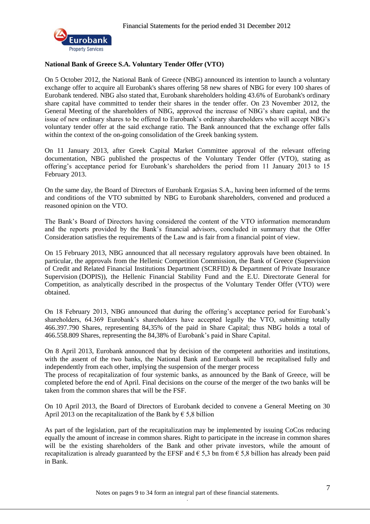

#### **National Bank of Greece S.A. Voluntary Tender Offer (VTO)**

On 5 October 2012, the National Bank of Greece (NBG) announced its intention to launch a voluntary exchange offer to acquire all Eurobank's shares offering 58 new shares of NBG for every 100 shares of Eurobank tendered. NBG also stated that, Eurobank shareholders holding 43.6% of Eurobank's ordinary share capital have committed to tender their shares in the tender offer. On 23 November 2012, the General Meeting of the shareholders of NBG, approved the increase of NBG"s share capital, and the issue of new ordinary shares to be offered to Eurobank"s ordinary shareholders who will accept NBG"s voluntary tender offer at the said exchange ratio. The Bank announced that the exchange offer falls within the context of the on-going consolidation of the Greek banking system.

On 11 January 2013, after Greek Capital Market Committee approval of the relevant offering documentation, NBG published the prospectus of the Voluntary Tender Offer (VTO), stating as offering's acceptance period for Eurobank's shareholders the period from 11 January 2013 to 15 February 2013.

On the same day, the Board of Directors of Eurobank Ergasias S.A., having been informed of the terms and conditions of the VTO submitted by NBG to Eurobank shareholders, convened and produced a reasoned opinion on the VTO.

The Bank"s Board of Directors having considered the content of the VTO information memorandum and the reports provided by the Bank"s financial advisors, concluded in summary that the Offer Consideration satisfies the requirements of the Law and is fair from a financial point of view.

On 15 February 2013, NBG announced that all necessary regulatory approvals have been obtained. In particular, the approvals from [the](http://www.epant.gr/) Hellenic Competition Commission, the Bank of Greece (Supervision of Credit and Related Financial Institutions Department (SCRFID) & Department of Private Insurance Supervision (DOPIS)), the [Hellenic Financial Stability Fund a](http://www.hfsf.gr/)nd the E.U. Directorate General for Competition, as analytically described in the prospectus of the Voluntary Tender Offer (VTO) were obtained.

On 18 February 2013, NBG announced that during the offering's acceptance period for Eurobank's shareholders, 64.369 Eurobank's shareholders have accepted legally the VTO, submitting totally 466.397.790 Shares, representing 84,35% of the paid in Share Capital; thus NBG holds a total of 466.558.809 Shares, representing the 84,38% of Eurobank"s paid in Share Capital.

On 8 April 2013, Eurobank announced that by decision of the competent authorities and institutions, with the assent of the two banks, the National Bank and Eurobank will be recapitalised fully and independently from each other, implying the suspension of the merger process

The process of recapitalization of four systemic banks, as announced by the Bank of Greece, will be completed before the end of April. Final decisions on the course of the merger of the two banks will be taken from the common shares that will be the FSF.

On 10 April 2013, the Board of Directors of Eurobank decided to convene a General Meeting on 30 April 2013 on the recapitalization of the Bank by  $\epsilon$  5.8 billion

As part of the legislation, part of the recapitalization may be implemented by issuing CoCos reducing equally the amount of increase in common shares. Right to participate in the increase in common shares will be the existing shareholders of the Bank and other private investors, while the amount of recapitalization is already guaranteed by the EFSF and  $\epsilon$  5,3 bn from  $\epsilon$  5,8 billion has already been paid in Bank.

7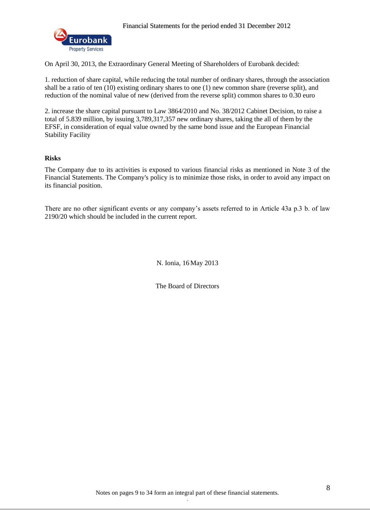

On April 30, 2013, the Extraordinary General Meeting of Shareholders of Eurobank decided:

1. reduction of share capital, while reducing the total number of ordinary shares, through the association shall be a ratio of ten (10) existing ordinary shares to one (1) new common share (reverse split), and reduction of the nominal value of new (derived from the reverse split) common shares to 0.30 euro

2. increase the share capital pursuant to Law 3864/2010 and No. 38/2012 Cabinet Decision, to raise a total of 5.839 million, by issuing 3,789,317,357 new ordinary shares, taking the all of them by the EFSF, in consideration of equal value owned by the same bond issue and the European Financial Stability Facility

#### **Risks**

The Company due to its activities is exposed to various financial risks as mentioned in Note 3 of the Financial Statements. The Company's policy is to minimize those risks, in order to avoid any impact on its financial position.

There are no other significant events or any company's assets referred to in Article 43a p.3 b. of law 2190/20 which should be included in the current report.

N. Ionia, 16 May 2013

The Board of Directors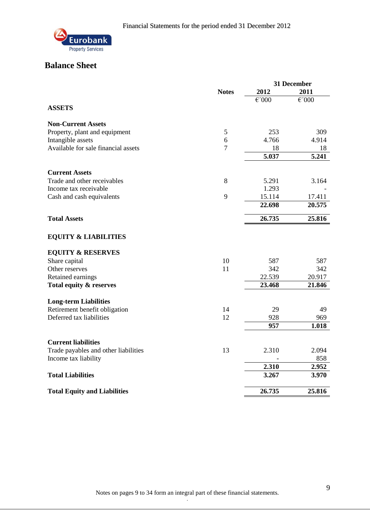

### **Balance Sheet**

|                                      |                |        | 31 December |
|--------------------------------------|----------------|--------|-------------|
|                                      | <b>Notes</b>   | 2012   | 2011        |
|                                      |                | €'000  | €'000       |
| <b>ASSETS</b>                        |                |        |             |
| <b>Non-Current Assets</b>            |                |        |             |
| Property, plant and equipment        | 5              | 253    | 309         |
| Intangible assets                    | 6              | 4.766  | 4.914       |
| Available for sale financial assets  | $\overline{7}$ | 18     | 18          |
|                                      |                | 5.037  | 5.241       |
| <b>Current Assets</b>                |                |        |             |
| Trade and other receivables          | 8              | 5.291  | 3.164       |
| Income tax receivable                |                | 1.293  |             |
| Cash and cash equivalents            | 9              | 15.114 | 17.411      |
|                                      |                | 22.698 | 20.575      |
| <b>Total Assets</b>                  |                | 26.735 | 25.816      |
| <b>EQUITY &amp; LIABILITIES</b>      |                |        |             |
| <b>EQUITY &amp; RESERVES</b>         |                |        |             |
| Share capital                        | 10             | 587    | 587         |
| Other reserves                       | 11             | 342    | 342         |
| Retained earnings                    |                | 22.539 | 20.917      |
| Total equity & reserves              |                | 23.468 | 21.846      |
| <b>Long-term Liabilities</b>         |                |        |             |
| Retirement benefit obligation        | 14             | 29     | 49          |
| Deferred tax liabilities             | 12             | 928    | 969         |
|                                      |                | 957    | 1.018       |
| <b>Current liabilities</b>           |                |        |             |
| Trade payables and other liabilities | 13             | 2.310  | 2.094       |
| Income tax liability                 |                |        | 858         |
|                                      |                | 2.310  | 2.952       |
| <b>Total Liabilities</b>             |                | 3.267  | 3.970       |
| <b>Total Equity and Liabilities</b>  |                | 26.735 | 25.816      |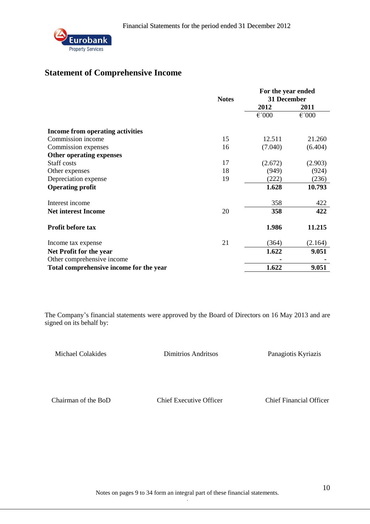

### **Statement of Comprehensive Income**

|                                         | <b>Notes</b> | For the year ended<br>31 December |         |  |
|-----------------------------------------|--------------|-----------------------------------|---------|--|
|                                         |              | 2012                              | 2011    |  |
|                                         |              | $\epsilon$ '000                   | €'000   |  |
| Income from operating activities        |              |                                   |         |  |
| Commission income                       | 15           | 12.511                            | 21.260  |  |
| Commission expenses                     | 16           | (7.040)                           | (6.404) |  |
| Other operating expenses                |              |                                   |         |  |
| Staff costs                             | 17           | (2.672)                           | (2.903) |  |
| Other expenses                          | 18           | (949)                             | (924)   |  |
| Depreciation expense                    | 19           | (222)                             | (236)   |  |
| <b>Operating profit</b>                 |              | 1.628                             | 10.793  |  |
| Interest income                         |              | 358                               | 422     |  |
| <b>Net interest Income</b>              | 20           | 358                               | 422     |  |
| Profit before tax                       |              | 1.986                             | 11.215  |  |
| Income tax expense                      | 21           | (364)                             | (2.164) |  |
| Net Profit for the year                 |              | 1.622                             | 9.051   |  |
| Other comprehensive income              |              |                                   |         |  |
| Total comprehensive income for the year |              | 1.622                             | 9.051   |  |

The Company's financial statements were approved by the Board of Directors on 16 May 2013 and are signed on its behalf by:

Michael Colakides Dimitrios Andritsos Panagiotis Kyriazis

Chairman of the BoD Chief Executive Officer Chief Financial Officer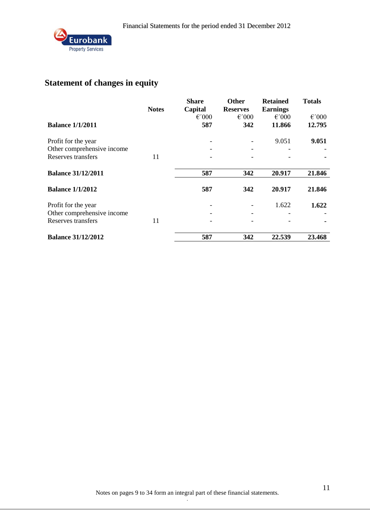

# **Statement of changes in equity**

|                            | <b>Notes</b> | <b>Share</b><br>Capital<br>€'000 | <b>Other</b><br><b>Reserves</b><br>$\epsilon$ '000 | <b>Retained</b><br><b>Earnings</b><br>$\epsilon$ '000 | <b>Totals</b><br>$\epsilon$ '000 |
|----------------------------|--------------|----------------------------------|----------------------------------------------------|-------------------------------------------------------|----------------------------------|
| <b>Balance 1/1/2011</b>    |              | 587                              | 342                                                | 11.866                                                | 12.795                           |
| Profit for the year        |              |                                  |                                                    | 9.051                                                 | 9.051                            |
| Other comprehensive income |              |                                  |                                                    |                                                       |                                  |
| Reserves transfers         | 11           |                                  |                                                    |                                                       |                                  |
| <b>Balance 31/12/2011</b>  |              | 587                              | 342                                                | 20.917                                                | 21.846                           |
| <b>Balance 1/1/2012</b>    |              | 587                              | 342                                                | 20.917                                                | 21.846                           |
| Profit for the year        |              |                                  |                                                    | 1.622                                                 | 1.622                            |
| Other comprehensive income |              |                                  |                                                    |                                                       |                                  |
| Reserves transfers         | 11           |                                  |                                                    |                                                       |                                  |
| <b>Balance 31/12/2012</b>  |              | 587                              | 342                                                | 22.539                                                | 23.468                           |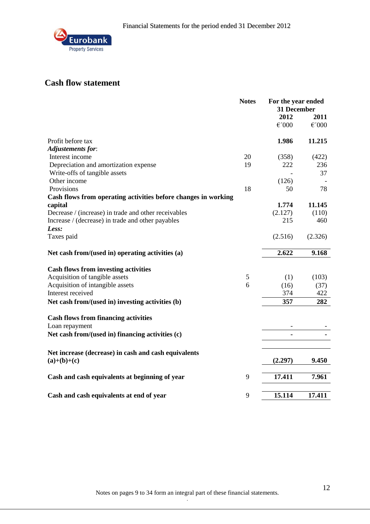

## **Cash flow statement**

|                                                                       | <b>Notes</b> | For the year ended<br>31 December |               |
|-----------------------------------------------------------------------|--------------|-----------------------------------|---------------|
|                                                                       |              | 2012<br>€'000                     | 2011<br>€'000 |
| Profit before tax                                                     |              | 1.986                             | 11.215        |
| <b>Adjustements for:</b>                                              |              |                                   |               |
| Interest income                                                       | 20           | (358)                             | (422)         |
| Depreciation and amortization expense                                 | 19           | 222                               | 236           |
| Write-offs of tangible assets                                         |              |                                   | 37            |
| Other income                                                          |              | (126)                             |               |
| Provisions                                                            | 18           | 50                                | 78            |
| Cash flows from operating activities before changes in working        |              |                                   |               |
| capital                                                               |              | 1.774                             | 11.145        |
| Decrease / (increase) in trade and other receivables                  |              | (2.127)                           | (110)         |
| Increase / (decrease) in trade and other payables                     |              | 215                               | 460           |
| Less:                                                                 |              |                                   |               |
| Taxes paid                                                            |              | (2.516)                           | (2.326)       |
| Net cash from/(used in) operating activities (a)                      |              | 2.622                             | 9.168         |
| <b>Cash flows from investing activities</b>                           |              |                                   |               |
| Acquisition of tangible assets                                        | 5            | (1)                               | (103)         |
| Acquisition of intangible assets                                      | 6            | (16)                              | (37)          |
| Interest received                                                     |              | 374                               | 422           |
| Net cash from/(used in) investing activities (b)                      |              | 357                               | 282           |
| <b>Cash flows from financing activities</b>                           |              |                                   |               |
| Loan repayment                                                        |              |                                   |               |
| Net cash from/(used in) financing activities (c)                      |              |                                   |               |
|                                                                       |              |                                   |               |
| Net increase (decrease) in cash and cash equivalents<br>$(a)+(b)+(c)$ |              | (2.297)                           | 9.450         |
| Cash and cash equivalents at beginning of year                        | 9            | 17.411                            | 7.961         |
| Cash and cash equivalents at end of year                              | 9            | 15.114                            | 17.411        |
|                                                                       |              |                                   |               |

12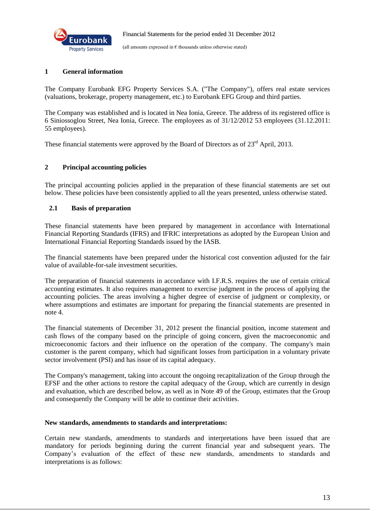

#### **1 General information**

The Company Eurobank EFG Property Services S.A. ("The Company"), offers real estate services (valuations, brokerage, property management, etc.) to Eurobank EFG Group and third parties.

The Company was established and is located in Nea Ionia, Greece. The address of its registered office is 6 Siniossoglou Street, Nea Ionia, Greece. The employees as of 31/12/2012 53 employees (31.12.2011: 55 employees).

These financial statements were approved by the Board of Directors as of 23<sup>rd</sup> April, 2013.

#### **2 Principal accounting policies**

The principal accounting policies applied in the preparation of these financial statements are set out below. These policies have been consistently applied to all the years presented, unless otherwise stated.

#### **2.1 Basis of preparation**

These financial statements have been prepared by management in accordance with International Financial Reporting Standards (IFRS) and IFRIC interpretations as adopted by the European Union and International Financial Reporting Standards issued by the IASB.

The financial statements have been prepared under the historical cost convention adjusted for the fair value of available-for-sale investment securities.

The preparation of financial statements in accordance with I.F.R.S. requires the use of certain critical accounting estimates. It also requires management to exercise judgment in the process of applying the accounting policies. The areas involving a higher degree of exercise of judgment or complexity, or where assumptions and estimates are important for preparing the financial statements are presented in note 4.

The financial statements of December 31, 2012 present the financial position, income statement and cash flows of the company based on the principle of going concern, given the macroeconomic and microeconomic factors and their influence on the operation of the company. The company's main customer is the parent company, which had significant losses from participation in a voluntary private sector involvement (PSI) and has issue of its capital adequacy.

The Company's management, taking into account the ongoing recapitalization of the Group through the EFSF and the other actions to restore the capital adequacy of the Group, which are currently in design and evaluation, which are described below, as well as in Note 49 of the Group, estimates that the Group and consequently the Company will be able to continue their activities.

#### **New standards, amendments to standards and interpretations:**

Certain new standards, amendments to standards and interpretations have been issued that are mandatory for periods beginning during the current financial year and subsequent years. The Company"s evaluation of the effect of these new standards, amendments to standards and interpretations is as follows: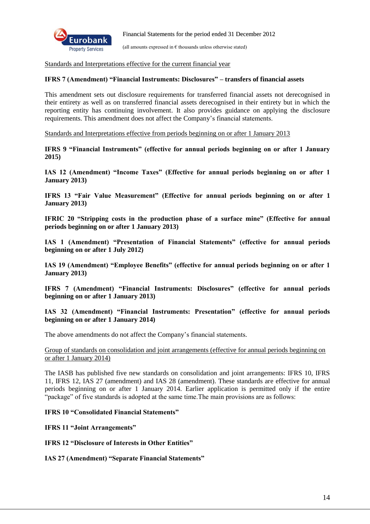

Standards and Interpretations effective for the current financial year

#### **IFRS 7 (Amendment) "Financial Instruments: Disclosures" – transfers of financial assets**

This amendment sets out disclosure requirements for transferred financial assets not derecognised in their entirety as well as on transferred financial assets derecognised in their entirety but in which the reporting entity has continuing involvement. It also provides guidance on applying the disclosure requirements. This amendment does not affect the Company"s financial statements.

Standards and Interpretations effective from periods beginning on or after 1 January 2013

**IFRS 9 "Financial Instruments" (effective for annual periods beginning on or after 1 January 2015)**

**IAS 12 (Amendment) "Income Taxes" (Effective for annual periods beginning on or after 1 January 2013)**

**IFRS 13 "Fair Value Measurement" (Effective for annual periods beginning on or after 1 January 2013)**

**IFRIC 20 "Stripping costs in the production phase of a surface mine" (Effective for annual periods beginning on or after 1 January 2013)**

**IAS 1 (Amendment) "Presentation of Financial Statements" (effective for annual periods beginning on or after 1 July 2012)**

**IAS 19 (Amendment) "Employee Benefits" (effective for annual periods beginning on or after 1 January 2013)**

**IFRS 7 (Amendment) "Financial Instruments: Disclosures" (effective for annual periods beginning on or after 1 January 2013)** 

**IAS 32 (Amendment) "Financial Instruments: Presentation" (effective for annual periods beginning on or after 1 January 2014)**

The above amendments do not affect the Company"s financial statements.

Group of standards on consolidation and joint arrangements (effective for annual periods beginning on or after 1 January 2014)

The IASB has published five new standards on consolidation and joint arrangements: IFRS 10, IFRS 11, IFRS 12, IAS 27 (amendment) and IAS 28 (amendment). These standards are effective for annual periods beginning on or after 1 January 2014. Earlier application is permitted only if the entire "package" of five standards is adopted at the same time.The main provisions are as follows:

**IFRS 10 "Consolidated Financial Statements"**

**IFRS 11 "Joint Arrangements"**

**IFRS 12 "Disclosure of Interests in Other Entities"** 

**IAS 27 (Amendment) "Separate Financial Statements"**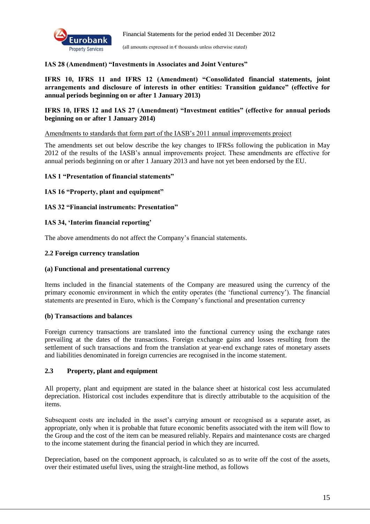

#### **IAS 28 (Amendment) "Investments in Associates and Joint Ventures"**

**IFRS 10, IFRS 11 and IFRS 12 (Amendment) "Consolidated financial statements, joint arrangements and disclosure of interests in other entities: Transition guidance" (effective for annual periods beginning on or after 1 January 2013)**

#### **IFRS 10, IFRS 12 and IAS 27 (Amendment) "Investment entities" (effective for annual periods beginning on or after 1 January 2014)**

#### Amendments to standards that form part of the IASB"s 2011 annual improvements project

The amendments set out below describe the key changes to IFRSs following the publication in May 2012 of the results of the IASB"s annual improvements project. These amendments are effective for annual periods beginning on or after 1 January 2013 and have not yet been endorsed by the EU.

#### **IAS 1 "Presentation of financial statements"**

#### **IAS 16 "Property, plant and equipment"**

#### **IAS 32 "Financial instruments: Presentation"**

#### **IAS 34, "Interim financial reporting"**

The above amendments do not affect the Company"s financial statements.

#### **2.2 Foreign currency translation**

#### **(a) Functional and presentational currency**

Items included in the financial statements of the Company are measured using the currency of the primary economic environment in which the entity operates (the "functional currency"). The financial statements are presented in Euro, which is the Company's functional and presentation currency

#### **(b) Transactions and balances**

Foreign currency transactions are translated into the functional currency using the exchange rates prevailing at the dates of the transactions. Foreign exchange gains and losses resulting from the settlement of such transactions and from the translation at year-end exchange rates of monetary assets and liabilities denominated in foreign currencies are recognised in the income statement.

#### **2.3 Property, plant and equipment**

All property, plant and equipment are stated in the balance sheet at historical cost less accumulated depreciation. Historical cost includes expenditure that is directly attributable to the acquisition of the items.

Subsequent costs are included in the asset's carrying amount or recognised as a separate asset, as appropriate, only when it is probable that future economic benefits associated with the item will flow to the Group and the cost of the item can be measured reliably. Repairs and maintenance costs are charged to the income statement during the financial period in which they are incurred.

Depreciation, based on the component approach, is calculated so as to write off the cost of the assets, over their estimated useful lives, using the straight-line method, as follows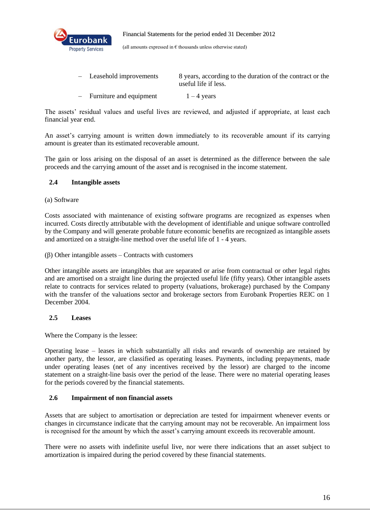

Financial Statements for the period ended 31 December 2012

(all amounts expressed in  $\epsilon$  thousands unless otherwise stated)

| - Leasehold improvements    | 8 years, according to the duration of the contract or the<br>useful life if less. |
|-----------------------------|-----------------------------------------------------------------------------------|
| $-$ Furniture and equipment | $1 - 4$ years                                                                     |

The assets' residual values and useful lives are reviewed, and adjusted if appropriate, at least each financial year end.

An asset's carrying amount is written down immediately to its recoverable amount if its carrying amount is greater than its estimated recoverable amount.

The gain or loss arising on the disposal of an asset is determined as the difference between the sale proceeds and the carrying amount of the asset and is recognised in the income statement.

#### **2.4 Intangible assets**

(a) Software

Costs associated with maintenance of existing software programs are recognized as expenses when incurred. Costs directly attributable with the development of identifiable and unique software controlled by the Company and will generate probable future economic benefits are recognized as intangible assets and amortized on a straight-line method over the useful life of 1 - 4 years.

(β) Other intangible assets – Contracts with customers

Other intangible assets are intangibles that are separated or arise from contractual or other legal rights and are amortised on a straight line during the projected useful life (fifty years). Other intangible assets relate to contracts for services related to property (valuations, brokerage) purchased by the Company with the transfer of the valuations sector and brokerage sectors from Eurobank Properties REIC on 1 December 2004.

#### **2.5 Leases**

Where the Company is the lessee:

Operating lease – leases in which substantially all risks and rewards of ownership are retained by another party, the lessor, are classified as operating leases. Payments, including prepayments, made under operating leases (net of any incentives received by the lessor) are charged to the income statement on a straight-line basis over the period of the lease. There were no material operating leases for the periods covered by the financial statements.

#### **2.6 Impairment of non financial assets**

Assets that are subject to amortisation or depreciation are tested for impairment whenever events or changes in circumstance indicate that the carrying amount may not be recoverable. An impairment loss is recognised for the amount by which the asset's carrying amount exceeds its recoverable amount.

There were no assets with indefinite useful live, nor were there indications that an asset subject to amortization is impaired during the period covered by these financial statements.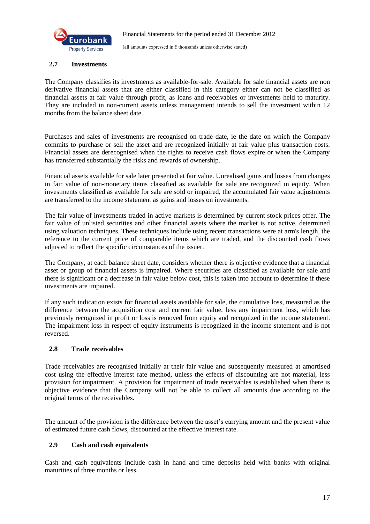

#### **2.7 Investments**

The Company classifies its investments as available-for-sale. Available for sale financial assets are non derivative financial assets that are either classified in this category either can not be classified as financial assets at fair value through profit, as loans and receivables or investments held to maturity. They are included in non-current assets unless management intends to sell the investment within 12 months from the balance sheet date.

Purchases and sales of investments are recognised on trade date, ie the date on which the Company commits to purchase or sell the asset and are recognized initially at fair value plus transaction costs. Financial assets are derecognised when the rights to receive cash flows expire or when the Company has transferred substantially the risks and rewards of ownership.

Financial assets available for sale later presented at fair value. Unrealised gains and losses from changes in fair value of non-monetary items classified as available for sale are recognized in equity. When investments classified as available for sale are sold or impaired, the accumulated fair value adjustments are transferred to the income statement as gains and losses on investments.

The fair value of investments traded in active markets is determined by current stock prices offer. The fair value of unlisted securities and other financial assets where the market is not active, determined using valuation techniques. These techniques include using recent transactions were at arm's length, the reference to the current price of comparable items which are traded, and the discounted cash flows adjusted to reflect the specific circumstances of the issuer.

The Company, at each balance sheet date, considers whether there is objective evidence that a financial asset or group of financial assets is impaired. Where securities are classified as available for sale and there is significant or a decrease in fair value below cost, this is taken into account to determine if these investments are impaired.

If any such indication exists for financial assets available for sale, the cumulative loss, measured as the difference between the acquisition cost and current fair value, less any impairment loss, which has previously recognized in profit or loss is removed from equity and recognized in the income statement. The impairment loss in respect of equity instruments is recognized in the income statement and is not reversed.

#### **2.8 Trade receivables**

Trade receivables are recognised initially at their fair value and subsequently measured at amortised cost using the effective interest rate method, unless the effects of discounting are not material, less provision for impairment. A provision for impairment of trade receivables is established when there is objective evidence that the Company will not be able to collect all amounts due according to the original terms of the receivables.

The amount of the provision is the difference between the asset's carrying amount and the present value of estimated future cash flows, discounted at the effective interest rate.

#### **2.9 Cash and cash equivalents**

Cash and cash equivalents include cash in hand and time deposits held with banks with original maturities of three months or less.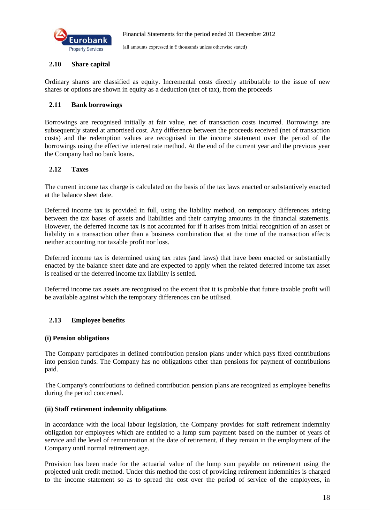

#### **2.10 Share capital**

Ordinary shares are classified as equity. Incremental costs directly attributable to the issue of new shares or options are shown in equity as a deduction (net of tax), from the proceeds

#### **2.11 Bank borrowings**

Borrowings are recognised initially at fair value, net of transaction costs incurred. Borrowings are subsequently stated at amortised cost. Any difference between the proceeds received (net of transaction costs) and the redemption values are recognised in the income statement over the period of the borrowings using the effective interest rate method. At the end of the current year and the previous year the Company had no bank loans.

#### **2.12 Taxes**

The current income tax charge is calculated on the basis of the tax laws enacted or substantively enacted at the balance sheet date.

Deferred income tax is provided in full, using the liability method, on temporary differences arising between the tax bases of assets and liabilities and their carrying amounts in the financial statements. However, the deferred income tax is not accounted for if it arises from initial recognition of an asset or liability in a transaction other than a business combination that at the time of the transaction affects neither accounting nor taxable profit nor loss.

Deferred income tax is determined using tax rates (and laws) that have been enacted or substantially enacted by the balance sheet date and are expected to apply when the related deferred income tax asset is realised or the deferred income tax liability is settled.

Deferred income tax assets are recognised to the extent that it is probable that future taxable profit will be available against which the temporary differences can be utilised.

#### **2.13 Employee benefits**

#### **(i) Pension obligations**

The Company participates in defined contribution pension plans under which pays fixed contributions into pension funds. The Company has no obligations other than pensions for payment of contributions paid.

The Company's contributions to defined contribution pension plans are recognized as employee benefits during the period concerned.

#### **(ii) Staff retirement indemnity obligations**

In accordance with the local labour legislation, the Company provides for staff retirement indemnity obligation for employees which are entitled to a lump sum payment based on the number of years of service and the level of remuneration at the date of retirement, if they remain in the employment of the Company until normal retirement age.

Provision has been made for the actuarial value of the lump sum payable on retirement using the projected unit credit method. Under this method the cost of providing retirement indemnities is charged to the income statement so as to spread the cost over the period of service of the employees, in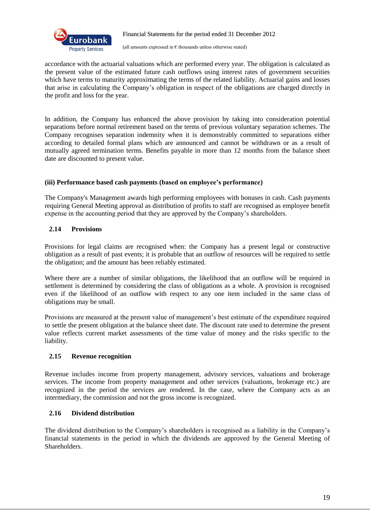

accordance with the actuarial valuations which are performed every year. The obligation is calculated as the present value of the estimated future cash outflows using interest rates of government securities which have terms to maturity approximating the terms of the related liability. Actuarial gains and losses that arise in calculating the Company"s obligation in respect of the obligations are charged directly in the profit and loss for the year.

In addition, the Company has enhanced the above provision by taking into consideration potential separations before normal retirement based on the terms of previous voluntary separation schemes. The Company recognises separation indemnity when it is demonstrably committed to separations either according to detailed formal plans which are announced and cannot be withdrawn or as a result of mutually agreed termination terms. Benefits payable in more than 12 months from the balance sheet date are discounted to present value.

#### **(iii) Performance based cash payments (based on employee"s performance)**

The Company's Management awards high performing employees with bonuses in cash. Cash payments requiring General Meeting approval as distribution of profits to staff are recognised as employee benefit expense in the accounting period that they are approved by the Company"s shareholders.

#### **2.14 Provisions**

Provisions for legal claims are recognised when: the Company has a present legal or constructive obligation as a result of past events; it is probable that an outflow of resources will be required to settle the obligation; and the amount has been reliably estimated.

Where there are a number of similar obligations, the likelihood that an outflow will be required in settlement is determined by considering the class of obligations as a whole. A provision is recognised even if the likelihood of an outflow with respect to any one item included in the same class of obligations may be small.

Provisions are measured at the present value of management"s best estimate of the expenditure required to settle the present obligation at the balance sheet date. The discount rate used to determine the present value reflects current market assessments of the time value of money and the risks specific to the liability.

#### **2.15 Revenue recognition**

Revenue includes income from property management, advisory services, valuations and brokerage services. The income from property management and other services (valuations, brokerage etc.) are recognized in the period the services are rendered. In the case, where the Company acts as an intermediary, the commission and not the gross income is recognized.

#### **2.16 Dividend distribution**

The dividend distribution to the Company's shareholders is recognised as a liability in the Company's financial statements in the period in which the dividends are approved by the General Meeting of Shareholders.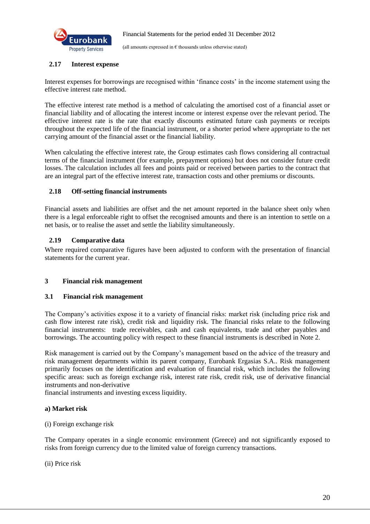

#### **2.17 Interest expense**

Interest expenses for borrowings are recognised within "finance costs" in the income statement using the effective interest rate method.

The effective interest rate method is a method of calculating the amortised cost of a financial asset or financial liability and of allocating the interest income or interest expense over the relevant period. The effective interest rate is the rate that exactly discounts estimated future cash payments or receipts throughout the expected life of the financial instrument, or a shorter period where appropriate to the net carrying amount of the financial asset or the financial liability.

When calculating the effective interest rate, the Group estimates cash flows considering all contractual terms of the financial instrument (for example, prepayment options) but does not consider future credit losses. The calculation includes all fees and points paid or received between parties to the contract that are an integral part of the effective interest rate, transaction costs and other premiums or discounts.

#### **2.18 Off-setting financial instruments**

Financial assets and liabilities are offset and the net amount reported in the balance sheet only when there is a legal enforceable right to offset the recognised amounts and there is an intention to settle on a net basis, or to realise the asset and settle the liability simultaneously.

#### **2.19 Comparative data**

Where required comparative figures have been adjusted to conform with the presentation of financial statements for the current year.

#### **3 Financial risk management**

#### **3.1 Financial risk management**

The Company"s activities expose it to a variety of financial risks: market risk (including price risk and cash flow interest rate risk), credit risk and liquidity risk. The financial risks relate to the following financial instruments: trade receivables, cash and cash equivalents, trade and other payables and borrowings. The accounting policy with respect to these financial instruments is described in Note 2.

Risk management is carried out by the Company"s management based on the advice of the treasury and risk management departments within its parent company, Eurobank Ergasias S.A.. Risk management primarily focuses on the identification and evaluation of financial risk, which includes the following specific areas: such as foreign exchange risk, interest rate risk, credit risk, use of derivative financial instruments and non-derivative

financial instruments and investing excess liquidity.

#### **a) Market risk**

(i) Foreign exchange risk

The Company operates in a single economic environment (Greece) and not significantly exposed to risks from foreign currency due to the limited value of foreign currency transactions.

(ii) Price risk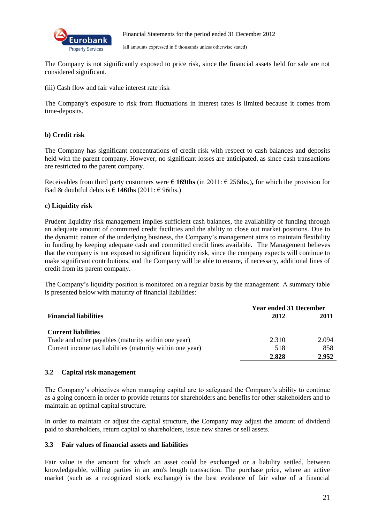

Financial Statements for the period ended 31 December 2012

(all amounts expressed in  $\epsilon$  thousands unless otherwise stated)

The Company is not significantly exposed to price risk, since the financial assets held for sale are not considered significant.

(iii) Cash flow and fair value interest rate risk

The Company's exposure to risk from fluctuations in interest rates is limited because it comes from time-deposits.

#### **b) Credit risk**

The Company has significant concentrations of credit risk with respect to cash balances and deposits held with the parent company. However, no significant losses are anticipated, as since cash transactions are restricted to the parent company.

Receivables from third party customers were  $\epsilon$  169ths (in 2011:  $\epsilon$  256ths.), for which the provision for Bad & doubtful debts is  $\epsilon$  146ths (2011:  $\epsilon$  96ths.)

#### **c) Liquidity risk**

Prudent liquidity risk management implies sufficient cash balances, the availability of funding through an adequate amount of committed credit facilities and the ability to close out market positions. Due to the dynamic nature of the underlying business, the Company"s management aims to maintain flexibility in funding by keeping adequate cash and committed credit lines available. The Management believes that the company is not exposed to significant liquidity risk, since the company expects will continue to make significant contributions, and the Company will be able to ensure, if necessary, additional lines of credit from its parent company.

The Company"s liquidity position is monitored on a regular basis by the management. A summary table is presented below with maturity of financial liabilities:

|                                                           | <b>Year ended 31 December</b> |       |  |
|-----------------------------------------------------------|-------------------------------|-------|--|
| <b>Financial liabilities</b>                              | 2012                          | 2011  |  |
| <b>Current liabilities</b>                                |                               |       |  |
| Trade and other payables (maturity within one year)       | 2.310                         | 2.094 |  |
| Current income tax liabilities (maturity within one year) | 518                           | 858   |  |
|                                                           | 2.828                         | 2.952 |  |

#### **3.2 Capital risk management**

The Company"s objectives when managing capital are to safeguard the Company"s ability to continue as a going concern in order to provide returns for shareholders and benefits for other stakeholders and to maintain an optimal capital structure.

In order to maintain or adjust the capital structure, the Company may adjust the amount of dividend paid to shareholders, return capital to shareholders, issue new shares or sell assets.

#### **3.3 Fair values of financial assets and liabilities**

Fair value is the amount for which an asset could be exchanged or a liability settled, between knowledgeable, willing parties in an arm's length transaction. The purchase price, where an active market (such as a recognized stock exchange) is the best evidence of fair value of a financial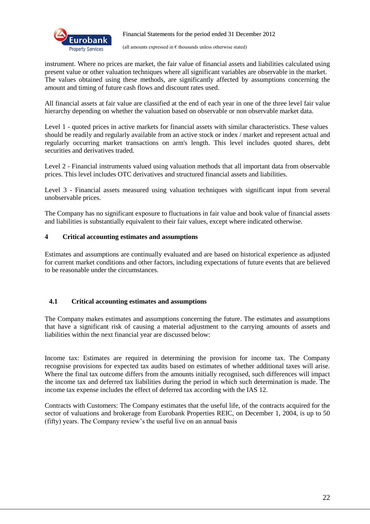

instrument. Where no prices are market, the fair value of financial assets and liabilities calculated using present value or other valuation techniques where all significant variables are observable in the market. The values obtained using these methods, are significantly affected by assumptions concerning the amount and timing of future cash flows and discount rates used.

All financial assets at fair value are classified at the end of each year in one of the three level fair value hierarchy depending on whether the valuation based on observable or non observable market data.

Level 1 - quoted prices in active markets for financial assets with similar characteristics. These values should be readily and regularly available from an active stock or index / market and represent actual and regularly occurring market transactions on arm's length. This level includes quoted shares, debt securities and derivatives traded.

Level 2 - Financial instruments valued using valuation methods that all important data from observable prices. This level includes OTC derivatives and structured financial assets and liabilities.

Level 3 - Financial assets measured using valuation techniques with significant input from several unobservable prices.

The Company has no significant exposure to fluctuations in fair value and book value of financial assets and liabilities is substantially equivalent to their fair values, except where indicated otherwise.

#### **4 Critical accounting estimates and assumptions**

Estimates and assumptions are continually evaluated and are based on historical experience as adjusted for current market conditions and other factors, including expectations of future events that are believed to be reasonable under the circumstances.

#### **4.1 Critical accounting estimates and assumptions**

The Company makes estimates and assumptions concerning the future. The estimates and assumptions that have a significant risk of causing a material adjustment to the carrying amounts of assets and liabilities within the next financial year are discussed below:

Income tax: Estimates are required in determining the provision for income tax. The Company recognise provisions for expected tax audits based on estimates of whether additional taxes will arise. Where the final tax outcome differs from the amounts initially recognised, such differences will impact the income tax and deferred tax liabilities during the period in which such determination is made. The income tax expense includes the effect of deferred tax according with the IAS 12.

Contracts with Customers: The Company estimates that the useful life, of the contracts acquired for the sector of valuations and brokerage from Eurobank Properties REIC, on December 1, 2004, is up to 50 (fifty) years. The Company review"s the useful live on an annual basis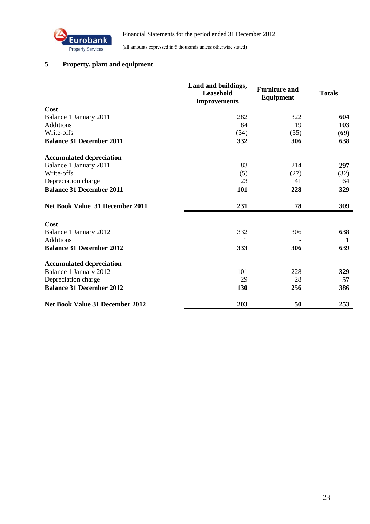

### **5 Property, plant and equipment**

|                                        | Land and buildings,<br>Leasehold<br>improvements | <b>Furniture and</b><br>Equipment | <b>Totals</b> |
|----------------------------------------|--------------------------------------------------|-----------------------------------|---------------|
| Cost                                   |                                                  |                                   |               |
| Balance 1 January 2011                 | 282                                              | 322                               | 604           |
| <b>Additions</b>                       | 84                                               | 19                                | 103           |
| Write-offs                             | (34)                                             | (35)                              | (69)          |
| <b>Balance 31 December 2011</b>        | 332                                              | 306                               | 638           |
| <b>Accumulated depreciation</b>        |                                                  |                                   |               |
| Balance 1 January 2011                 | 83                                               | 214                               | 297           |
| Write-offs                             | (5)                                              | (27)                              | (32)          |
| Depreciation charge                    | 23                                               | 41                                | 64            |
| <b>Balance 31 December 2011</b>        | 101                                              | 228                               | 329           |
| <b>Net Book Value 31 December 2011</b> | 231                                              | 78                                | 309           |
| Cost                                   |                                                  |                                   |               |
| Balance 1 January 2012                 | 332                                              | 306                               | 638           |
| <b>Additions</b>                       | 1                                                |                                   | 1             |
| <b>Balance 31 December 2012</b>        | 333                                              | 306                               | 639           |
| <b>Accumulated depreciation</b>        |                                                  |                                   |               |
| Balance 1 January 2012                 | 101                                              | 228                               | 329           |
| Depreciation charge                    | 29                                               | 28                                | 57            |
| <b>Balance 31 December 2012</b>        | 130                                              | 256                               | 386           |
| <b>Net Book Value 31 December 2012</b> | 203                                              | 50                                | 253           |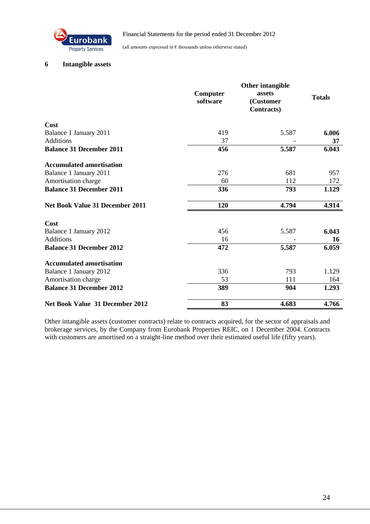

Financial Statements for the period ended 31 December 2012

(all amounts expressed in  $\epsilon$  thousands unless otherwise stated)

#### **6 Intangible assets**

|                                        | Computer<br>software | Other intangible<br>assets<br>(Customer<br><b>Contracts</b> ) | <b>Totals</b> |
|----------------------------------------|----------------------|---------------------------------------------------------------|---------------|
| Cost                                   |                      |                                                               |               |
| Balance 1 January 2011                 | 419                  | 5.587                                                         | 6.006         |
| <b>Additions</b>                       | 37                   |                                                               | 37            |
| <b>Balance 31 December 2011</b>        | 456                  | 5.587                                                         | 6.043         |
| <b>Accumulated amortisation</b>        |                      |                                                               |               |
| Balance 1 January 2011                 | 276                  | 681                                                           | 957           |
| Amortisation charge                    | 60                   | 112                                                           | 172           |
| <b>Balance 31 December 2011</b>        | 336                  | 793                                                           | 1.129         |
| <b>Net Book Value 31 December 2011</b> | 120                  | 4.794                                                         | 4.914         |
| Cost                                   |                      |                                                               |               |
| Balance 1 January 2012                 | 456                  | 5.587                                                         | 6.043         |
| <b>Additions</b>                       | 16                   |                                                               | 16            |
| <b>Balance 31 December 2012</b>        | 472                  | 5.587                                                         | 6.059         |
| <b>Accumulated amortisation</b>        |                      |                                                               |               |
| Balance 1 January 2012                 | 336                  | 793                                                           | 1.129         |
| Amortisation charge                    | 53                   | 111                                                           | 164           |
| <b>Balance 31 December 2012</b>        | 389                  | 904                                                           | 1.293         |
| <b>Net Book Value 31 December 2012</b> | 83                   | 4.683                                                         | 4.766         |

Other intangible assets (customer contracts) relate to contracts acquired, for the sector of appraisals and brokerage services, by the Company from Eurobank Properties REIC, on 1 December 2004. Contracts with customers are amortised on a straight-line method over their estimated useful life (fifty years).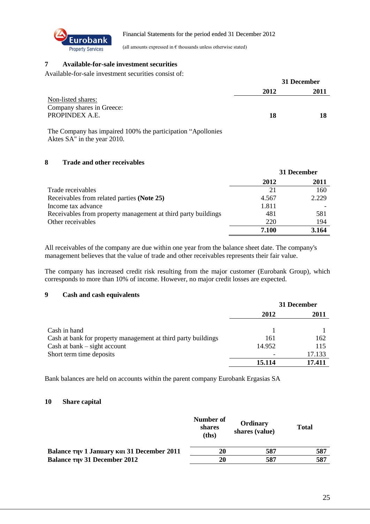

### **7 Available-for-sale investment securities**

Available-for-sale investment securities consist of:

|                                                              | 31 December |      |
|--------------------------------------------------------------|-------------|------|
|                                                              | 2012        | 2011 |
| Non-listed shares:                                           |             |      |
| Company shares in Greece:                                    |             |      |
| PROPINDEX A.E.                                               | 18          |      |
| The Company has impaired 100% the participation "Apollonies" |             |      |

**8 Trade and other receivables**

Aktes SA" in the year 2010.

|                                                               | 31 December |       |
|---------------------------------------------------------------|-------------|-------|
|                                                               | 2012        | 2011  |
| Trade receivables                                             | 21          | 160   |
| Receivables from related parties (Note 25)                    | 4.567       | 2.229 |
| Income tax advance                                            | 1.811       |       |
| Receivables from property management at third party buildings | 481         | 581   |
| Other receivables                                             | 220         | 194   |
|                                                               | 7.100       | 3.164 |

All receivables of the company are due within one year from the balance sheet date. The company's management believes that the value of trade and other receivables represents their fair value.

The company has increased credit risk resulting from the major customer (Eurobank Group), which corresponds to more than 10% of income. However, no major credit losses are expected.

#### **9 Cash and cash equivalents**

|                                                               | 31 December |        |
|---------------------------------------------------------------|-------------|--------|
|                                                               | 2012        | 2011   |
|                                                               |             |        |
| Cash in hand                                                  |             |        |
| Cash at bank for property management at third party buildings | 161         | 162    |
| $Cash at bank - sight account$                                | 14.952      | 115    |
| Short term time deposits                                      |             | 17.133 |
|                                                               | 15.114      | 17.411 |

Bank balances are held on accounts within the parent company Eurobank Ergasias SA

#### **10 Share capital**

|                                            | Number of<br>shares<br>(this) | Ordinary<br>shares (value) | <b>Total</b> |
|--------------------------------------------|-------------------------------|----------------------------|--------------|
| Balance την 1 January και 31 December 2011 | 20                            | 587                        | 587          |
| Balance την 31 December 2012               | 20                            | 587                        | 587          |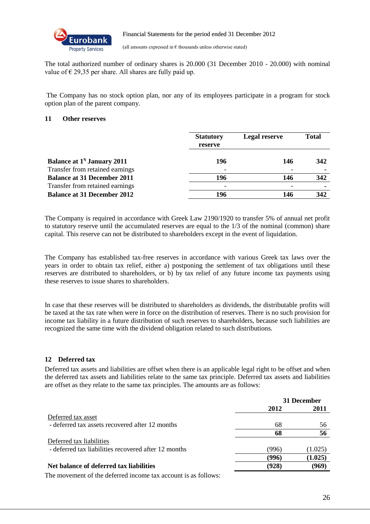

The total authorized number of ordinary shares is 20.000 (31 December 2010 - 20.000) with nominal value of  $\epsilon$  29,35 per share. All shares are fully paid up.

The Company has no stock option plan, nor any of its employees participate in a program for stock option plan of the parent company.

#### **11 Other reserves**

|                                    | <b>Statutory</b><br>reserve | <b>Legal reserve</b> | <b>Total</b> |
|------------------------------------|-----------------------------|----------------------|--------------|
| Balance at $1n$ January 2011       | 196                         | 146                  | 342          |
| Transfer from retained earnings    |                             |                      |              |
| <b>Balance at 31 December 2011</b> | 196                         | 146                  | 342          |
| Transfer from retained earnings    |                             |                      |              |
| <b>Balance at 31 December 2012</b> | 196                         | 146                  | 342          |

The Company is required in accordance with Greek Law 2190/1920 to transfer 5% of annual net profit to statutory reserve until the accumulated reserves are equal to the 1/3 of the nominal (common) share capital. This reserve can not be distributed to shareholders except in the event of liquidation.

The Company has established tax-free reserves in accordance with various Greek tax laws over the years in order to obtain tax relief, either a) postponing the settlement of tax obligations until these reserves are distributed to shareholders, or b) by tax relief of any future income tax payments using these reserves to issue shares to shareholders.

In case that these reserves will be distributed to shareholders as dividends, the distributable profits will be taxed at the tax rate when were in force on the distribution of reserves. There is no such provision for income tax liability in a future distribution of such reserves to shareholders, because such liabilities are recognized the same time with the dividend obligation related to such distributions.

#### **12 Deferred tax**

Deferred tax assets and liabilities are offset when there is an applicable legal right to be offset and when the deferred tax assets and liabilities relate to the same tax principle. Deferred tax assets and liabilities are offset as they relate to the same tax principles. The amounts are as follows:

|                                                      | 31 December |         |
|------------------------------------------------------|-------------|---------|
|                                                      | 2012        | 2011    |
| Deferred tax asset                                   |             |         |
| - deferred tax assets recovered after 12 months      | 68          | 56      |
|                                                      | 68          | 56      |
| Deferred tax liabilities                             |             |         |
| - deferred tax liabilities recovered after 12 months | (996)       | (1.025) |
|                                                      | (996)       | (1.025) |
| Net balance of deferred tax liabilities              | (928)       | (969)   |
|                                                      |             |         |

The movement of the deferred income tax account is as follows: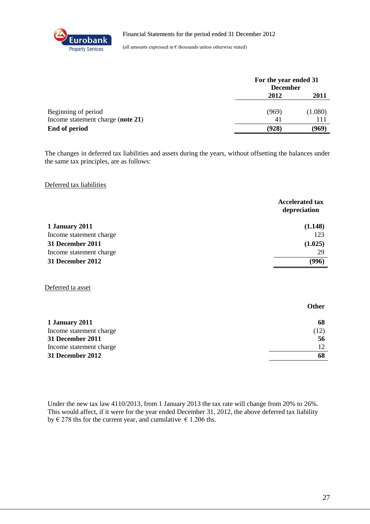

Financial Statements for the period ended 31 December 2012

(all amounts expressed in  $\epsilon$  thousands unless otherwise stated)

|                                   | For the year ended 31<br><b>December</b> |         |
|-----------------------------------|------------------------------------------|---------|
|                                   | 2012                                     | 2011    |
| Beginning of period               | (969)                                    | (1.080) |
| Income statement charge (note 21) | 41                                       | 111     |
| End of period                     | (928)                                    | (969)   |

The changes in deferred tax liabilities and assets during the years, without offsetting the balances under the same tax principles, are as follows:

Deferred tax liabilities

|                         | <b>Accelerated tax</b><br>depreciation |
|-------------------------|----------------------------------------|
| 1 January 2011          | (1.148)                                |
| Income statement charge | 123                                    |
| <b>31 December 2011</b> | (1.025)                                |
| Income statement charge | 29                                     |
| <b>31 December 2012</b> | (996)                                  |
| Deferred ta asset       | <b>Other</b>                           |
| 1 January 2011          | 68                                     |
| Income statement charge | (12)                                   |
| 31 December 2011        | 56                                     |
| Income statement charge | 12                                     |
| <b>31 December 2012</b> | 68                                     |

Under the new tax law 4110/2013, from 1 January 2013 the tax rate will change from 20% to 26%. This would affect, if it were for the year ended December 31, 2012, the above deferred tax liability by  $\epsilon$  278 ths for the current year, and cumulative  $\epsilon$  1.206 ths.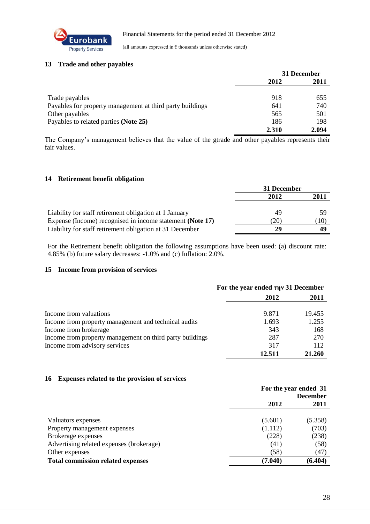

#### **13 Trade and other payables**

|                                                           | 31 December |       |
|-----------------------------------------------------------|-------------|-------|
|                                                           | 2012        | 2011  |
| Trade payables                                            | 918         | 655   |
| Payables for property management at third party buildings | 641         | 740   |
| Other payables                                            | 565         | 501   |
| Payables to related parties (Note 25)                     | 186         | 198   |
|                                                           | 2.310       | 2.094 |

The Company's management believes that the value of the gtrade and other payables represents their fair values.

#### **14 Retirement benefit obligation**

|                                                           | 31 December |      |
|-----------------------------------------------------------|-------------|------|
|                                                           | 2012        | 2011 |
| Liability for staff retirement obligation at 1 January    | 49          | 59   |
| Expense (Income) recognised in income statement (Note 17) | (20)        | (10) |
| Liability for staff retirement obligation at 31 December  | 29          |      |

For the Retirement benefit obligation the following assumptions have been used: (a) discount rate: 4.85% (b) future salary decreases: -1.0% and (c) Inflation: 2.0%.

#### **15 Income from provision of services**

|                                                          | For the year ended $\tau$ ny 31 December |        |
|----------------------------------------------------------|------------------------------------------|--------|
|                                                          | 2012                                     | 2011   |
| Income from valuations                                   | 9.871                                    | 19.455 |
| Income from property management and technical audits     | 1.693                                    | 1.255  |
| Income from brokerage                                    | 343                                      | 168    |
| Income from property management on third party buildings | 287                                      | 270    |
| Income from advisory services                            | 317                                      | 112    |
|                                                          | 12.511                                   | 21.260 |

#### **16 Expenses related to the provision of services**

|                                          | For the year ended 31 |         |
|------------------------------------------|-----------------------|---------|
|                                          | <b>December</b>       |         |
|                                          | 2012                  | 2011    |
|                                          |                       |         |
| Valuators expenses                       | (5.601)               | (5.358) |
| Property management expenses             | (1.112)               | (703)   |
| Brokerage expenses                       | (228)                 | (238)   |
| Advertising related expenses (brokerage) | (41)                  | (58)    |
| Other expenses                           | (58)                  | (47)    |
| <b>Total commission related expenses</b> | (7.040)               | (6.404) |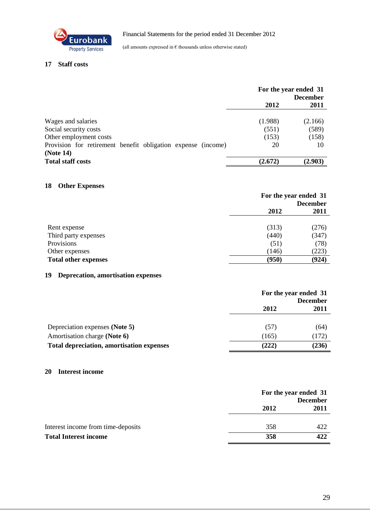

### **17 Staff costs**

|                                                              | For the year ended 31<br><b>December</b> |         |
|--------------------------------------------------------------|------------------------------------------|---------|
|                                                              | 2012                                     | 2011    |
| Wages and salaries                                           | (1.988)                                  | (2.166) |
| Social security costs                                        | (551)                                    | (589)   |
| Other employment costs                                       | (153)                                    | (158)   |
| Provision for retirement benefit obligation expense (income) | 20                                       | 10      |
| (Note 14)                                                    |                                          |         |
| <b>Total staff costs</b>                                     | (2.672)                                  | (2.903) |

#### **18 Other Expenses**

|                             | For the year ended 31 |             |
|-----------------------------|-----------------------|-------------|
|                             | <b>December</b>       |             |
|                             | 2012                  | <b>2011</b> |
|                             |                       |             |
| Rent expense                | (313)                 | (276)       |
| Third party expenses        | (440)                 | (347)       |
| Provisions                  | (51)                  | (78)        |
| Other expenses              | (146)                 | (223)       |
| <b>Total other expenses</b> | (950)                 | (924)       |

### **19 Deprecation, amortisation expenses**

|                                           | For the year ended 31<br><b>December</b> |       |
|-------------------------------------------|------------------------------------------|-------|
|                                           | 2012                                     | 2011  |
| Depreciation expenses (Note 5)            | (57)                                     | (64)  |
| Amortisation charge (Note 6)              | (165)                                    | (172) |
| Total depreciation, amortisation expenses | (222)                                    | (236) |

#### **20 Interest income**

|                                    | For the year ended 31<br><b>December</b> |      |
|------------------------------------|------------------------------------------|------|
|                                    | 2012                                     | 2011 |
| Interest income from time-deposits | 358                                      | 422  |
| <b>Total Interest income</b>       | 358                                      | 422  |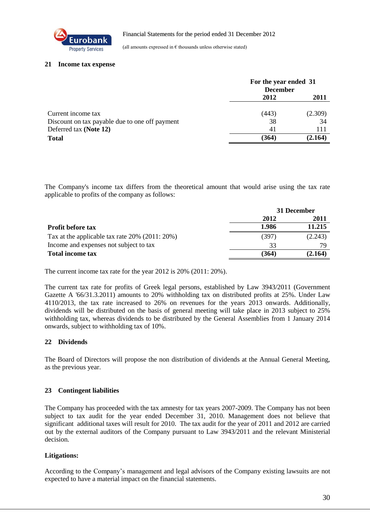

#### **21 Income tax expense**

|                                                | For the year ended 31<br><b>December</b> |         |
|------------------------------------------------|------------------------------------------|---------|
|                                                | 2012                                     | 2011    |
| Current income tax                             | (443)                                    | (2.309) |
| Discount on tax payable due to one off payment | 38                                       | 34      |
| Deferred tax (Note 12)                         | 41                                       | 111     |
| <b>Total</b>                                   | (364)                                    | (2.164) |

The Company's income tax differs from the theoretical amount that would arise using the tax rate applicable to profits of the company as follows:

|                                                   | 31 December |         |
|---------------------------------------------------|-------------|---------|
|                                                   | 2012        | 2011    |
| <b>Profit before tax</b>                          | 1.986       | 11.215  |
| Tax at the applicable tax rate $20\%$ (2011: 20%) | (397)       | (2.243) |
| Income and expenses not subject to tax            | 33          | 79      |
| <b>Total income tax</b>                           | (364)       | (2.164) |

The current income tax rate for the year 2012 is 20% (2011: 20%).

The current tax rate for profits of Greek legal persons, established by Law 3943/2011 (Government Gazette A '66/31.3.2011) amounts to 20% withholding tax on distributed profits at 25%. Under Law 4110/2013, the tax rate increased to 26% on revenues for the years 2013 onwards. Additionally, dividends will be distributed on the basis of general meeting will take place in 2013 subject to 25% withholding tax, whereas dividends to be distributed by the General Assemblies from 1 January 2014 onwards, subject to withholding tax of 10%.

#### **22 Dividends**

The Board of Directors will propose the non distribution of dividends at the Annual General Meeting, as the previous year.

#### **23 Contingent liabilities**

The Company has proceeded with the tax amnesty for tax years 2007-2009. The Company has not been subject to tax audit for the year ended December 31, 2010. Management does not believe that significant additional taxes will result for 2010. The tax audit for the year of 2011 and 2012 are carried out by the external auditors of the Company pursuant to Law 3943/2011 and the relevant Ministerial decision.

#### **Litigations:**

According to the Company"s management and legal advisors of the Company existing lawsuits are not expected to have a material impact on the financial statements.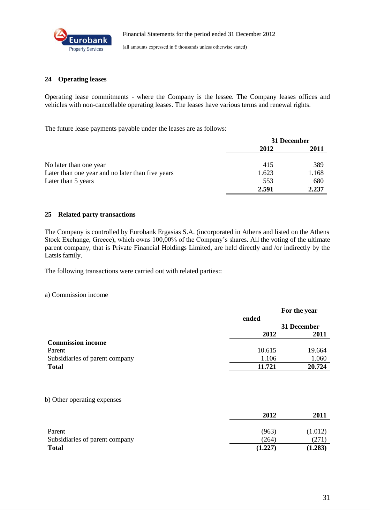

#### **24 Operating leases**

Operating lease commitments - where the Company is the lessee. The Company leases offices and vehicles with non-cancellable operating leases. The leases have various terms and renewal rights.

The future lease payments payable under the leases are as follows:

|                                                  | 31 December |       |
|--------------------------------------------------|-------------|-------|
|                                                  | 2012        | 2011  |
|                                                  |             |       |
| No later than one year                           | 415         | 389   |
| Later than one year and no later than five years | 1.623       | 1.168 |
| Later than 5 years                               | 553         | 680   |
|                                                  | 2.591       | 2.237 |

#### **25 Related party transactions**

The Company is controlled by Eurobank Ergasias S.A. (incorporated in Athens and listed on the Athens Stock Exchange, Greece), which owns 100,00% of the Company"s shares. All the voting of the ultimate parent company, that is Private Financial Holdings Limited, are held directly and /or indirectly by the Latsis family.

The following transactions were carried out with related parties::

#### a) Commission income

|                                |        | For the year |
|--------------------------------|--------|--------------|
|                                | ended  |              |
|                                |        | 31 December  |
|                                | 2012   | 2011         |
| <b>Commission income</b>       |        |              |
| Parent                         | 10.615 | 19.664       |
| Subsidiaries of parent company | 1.106  | 1.060        |
| <b>Total</b>                   | 11.721 | 20.724       |
|                                |        |              |

#### b) Other operating expenses

|                                | 2012    | 2011    |
|--------------------------------|---------|---------|
| Parent                         | (963)   | (1.012) |
| Subsidiaries of parent company | (264)   | (271)   |
| <b>Total</b>                   | (1.227) | (1.283) |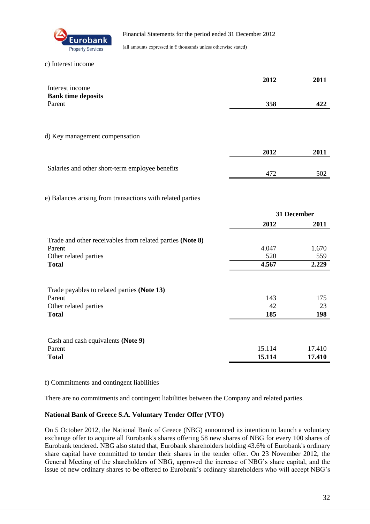

Financial Statements for the period ended 31 December 2012

(all amounts expressed in  $\epsilon$  thousands unless otherwise stated)

c) Interest income

|                                                            | 2012        | 2011      |
|------------------------------------------------------------|-------------|-----------|
| Interest income                                            |             |           |
| <b>Bank time deposits</b><br>Parent                        | 358         | 422       |
|                                                            |             |           |
| d) Key management compensation                             |             |           |
|                                                            | 2012        | 2011      |
| Salaries and other short-term employee benefits            |             |           |
|                                                            | 472         | 502       |
| e) Balances arising from transactions with related parties |             |           |
|                                                            | 31 December |           |
|                                                            | 2012        | 2011      |
| Trade and other receivables from related parties (Note 8)  |             |           |
| Parent                                                     | 4.047       | 1.670     |
| Other related parties                                      | 520         | 559       |
| <b>Total</b>                                               | 4.567       | 2.229     |
|                                                            |             |           |
| Trade payables to related parties (Note 13)                |             |           |
| Parent                                                     | 143<br>42   | 175<br>23 |
| Other related parties<br><b>Total</b>                      | 185         | 198       |
|                                                            |             |           |
| Cash and cash equivalents (Note 9)                         |             |           |
| Parent                                                     | 15.114      | 17.410    |
| <b>Total</b>                                               | 15.114      | 17.410    |
|                                                            |             |           |

#### f) Commitments and contingent liabilities

There are no commitments and contingent liabilities between the Company and related parties.

#### **National Bank of Greece S.A. Voluntary Tender Offer (VTO)**

On 5 October 2012, the National Bank of Greece (NBG) announced its intention to launch a voluntary exchange offer to acquire all Eurobank's shares offering 58 new shares of NBG for every 100 shares of Eurobank tendered. NBG also stated that, Eurobank shareholders holding 43.6% of Eurobank's ordinary share capital have committed to tender their shares in the tender offer. On 23 November 2012, the General Meeting of the shareholders of NBG, approved the increase of NBG"s share capital, and the issue of new ordinary shares to be offered to Eurobank"s ordinary shareholders who will accept NBG"s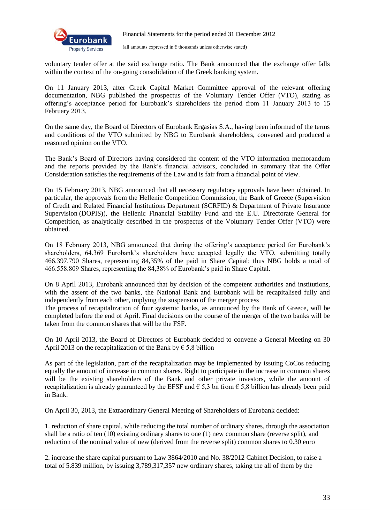

voluntary tender offer at the said exchange ratio. The Bank announced that the exchange offer falls within the context of the on-going consolidation of the Greek banking system.

On 11 January 2013, after Greek Capital Market Committee approval of the relevant offering documentation, NBG published the prospectus of the Voluntary Tender Offer (VTO), stating as offering"s acceptance period for Eurobank"s shareholders the period from 11 January 2013 to 15 February 2013.

On the same day, the Board of Directors of Eurobank Ergasias S.A., having been informed of the terms and conditions of the VTO submitted by NBG to Eurobank shareholders, convened and produced a reasoned opinion on the VTO.

The Bank"s Board of Directors having considered the content of the VTO information memorandum and the reports provided by the Bank"s financial advisors, concluded in summary that the Offer Consideration satisfies the requirements of the Law and is fair from a financial point of view.

On 15 February 2013, NBG announced that all necessary regulatory approvals have been obtained. In particular, the approvals from [the](http://www.epant.gr/) Hellenic Competition Commission, the Bank of Greece (Supervision of Credit and Related Financial Institutions Department (SCRFID) & Department of Private Insurance Supervision (DOPIS)), the [Hellenic Financial Stability Fund a](http://www.hfsf.gr/)nd the E.U. Directorate General for Competition, as analytically described in the prospectus of the Voluntary Tender Offer (VTO) were obtained.

On 18 February 2013, NBG announced that during the offering's acceptance period for Eurobank's shareholders, 64.369 Eurobank's shareholders have accepted legally the VTO, submitting totally 466.397.790 Shares, representing 84,35% of the paid in Share Capital; thus NBG holds a total of 466.558.809 Shares, representing the 84,38% of Eurobank"s paid in Share Capital.

On 8 April 2013, Eurobank announced that by decision of the competent authorities and institutions, with the assent of the two banks, the National Bank and Eurobank will be recapitalised fully and independently from each other, implying the suspension of the merger process

The process of recapitalization of four systemic banks, as announced by the Bank of Greece, will be completed before the end of April. Final decisions on the course of the merger of the two banks will be taken from the common shares that will be the FSF.

On 10 April 2013, the Board of Directors of Eurobank decided to convene a General Meeting on 30 April 2013 on the recapitalization of the Bank by  $\epsilon$  5,8 billion

As part of the legislation, part of the recapitalization may be implemented by issuing CoCos reducing equally the amount of increase in common shares. Right to participate in the increase in common shares will be the existing shareholders of the Bank and other private investors, while the amount of recapitalization is already guaranteed by the EFSF and  $\epsilon$  5,3 bn from  $\epsilon$  5,8 billion has already been paid in Bank.

On April 30, 2013, the Extraordinary General Meeting of Shareholders of Eurobank decided:

1. reduction of share capital, while reducing the total number of ordinary shares, through the association shall be a ratio of ten (10) existing ordinary shares to one (1) new common share (reverse split), and reduction of the nominal value of new (derived from the reverse split) common shares to 0.30 euro

2. increase the share capital pursuant to Law 3864/2010 and No. 38/2012 Cabinet Decision, to raise a total of 5.839 million, by issuing 3,789,317,357 new ordinary shares, taking the all of them by the